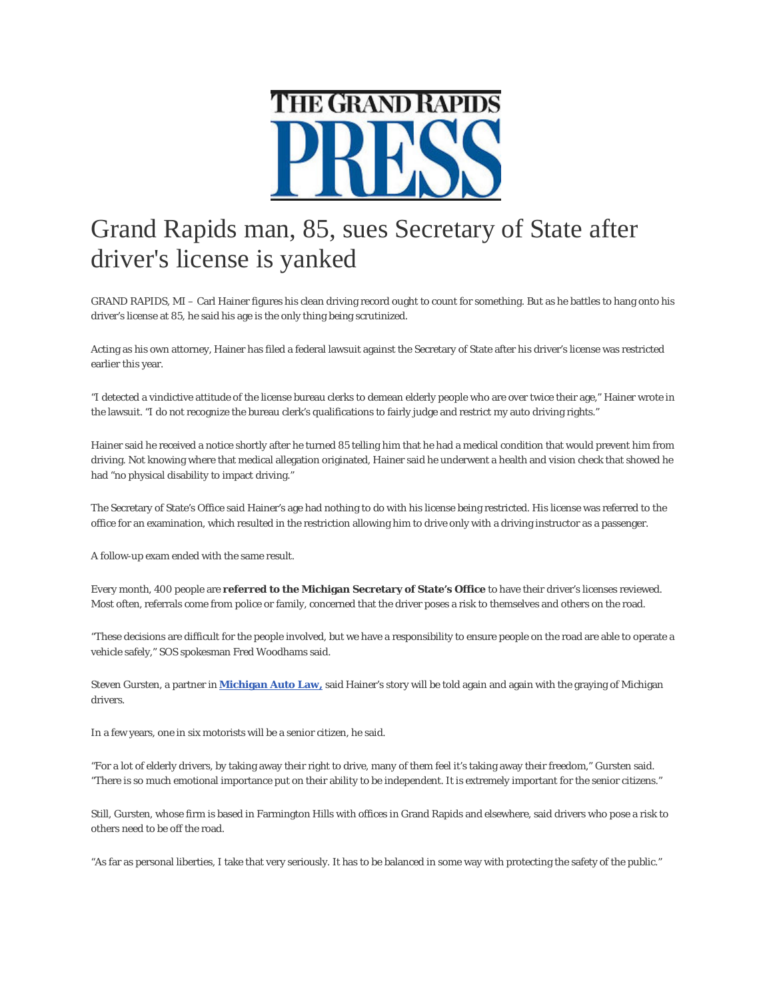

## Grand Rapids man, 85, sues Secretary of State after driver's license is yanked

GRAND RAPIDS, MI – Carl Hainer figures his clean driving record ought to count for something. But as he battles to hang onto his driver's license at 85, he said his age is the only thing being scrutinized.

Acting as his own attorney, Hainer has filed a federal lawsuit against the Secretary of State after his driver's license was restricted earlier this year.

"I detected a vindictive attitude of the license bureau clerks to demean elderly people who are over twice their age," Hainer wrote in the lawsuit. "I do not recognize the bureau clerk's qualifications to fairly judge and restrict my auto driving rights."

Hainer said he received a notice shortly after he turned 85 telling him that he had a medical condition that would prevent him from driving. Not knowing where that medical allegation originated, Hainer said he underwent a health and vision check that showed he had "no physical disability to impact driving."

The Secretary of State's Office said Hainer's age had nothing to do with his license being restricted. His license was referred to the office for an examination, which resulted in the restriction allowing him to drive only with a driving instructor as a passenger.

A follow-up exam ended with the same result.

Every month, 400 people are **referred to the Michigan Secretary of State's Office** to have their driver's licenses reviewed. Most often, referrals come from police or family, concerned that the driver poses a risk to themselves and others on the road.

"These decisions are difficult for the people involved, but we have a responsibility to ensure people on the road are able to operate a vehicle safely," SOS spokesman Fred Woodhams said.

Steven Gursten, a partner in **[Michigan Auto Law,](http://www.michiganautolaw.com/?utm_expid=70706742-4.i-scpJjKQmSNlBDh2vZ4ow.0)** said Hainer's story will be told again and again with the graying of Michigan drivers.

In a few years, one in six motorists will be a senior citizen, he said.

"For a lot of elderly drivers, by taking away their right to drive, many of them feel it's taking away their freedom," Gursten said. "There is so much emotional importance put on their ability to be independent. It is extremely important for the senior citizens."

Still, Gursten, whose firm is based in Farmington Hills with offices in Grand Rapids and elsewhere, said drivers who pose a risk to others need to be off the road.

"As far as personal liberties, I take that very seriously. It has to be balanced in some way with protecting the safety of the public."